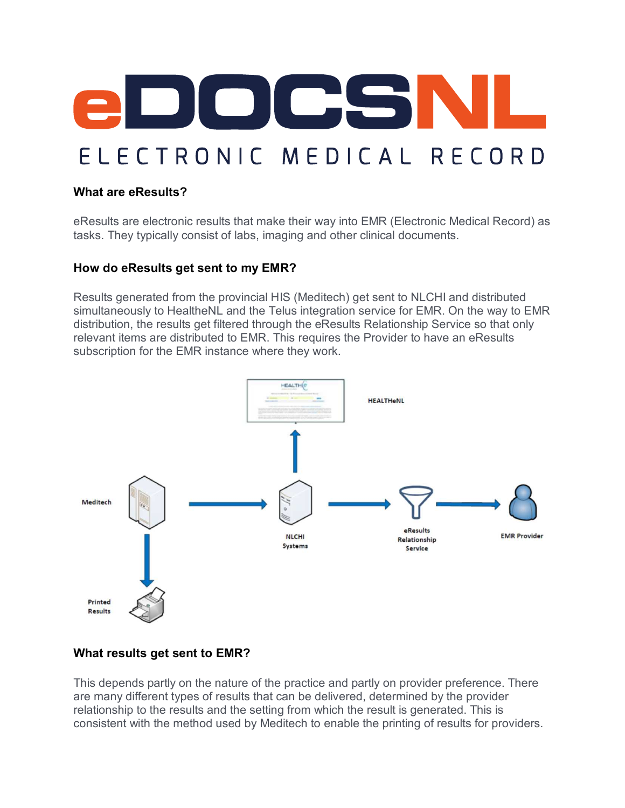

#### **What are eResults?**

eResults are electronic results that make their way into EMR (Electronic Medical Record) as tasks. They typically consist of labs, imaging and other clinical documents.

#### **How do eResults get sent to my EMR?**

Results generated from the provincial HIS (Meditech) get sent to NLCHI and distributed simultaneously to HealtheNL and the Telus integration service for EMR. On the way to EMR distribution, the results get filtered through the eResults Relationship Service so that only relevant items are distributed to EMR. This requires the Provider to have an eResults subscription for the EMR instance where they work.



### **What results get sent to EMR?**

This depends partly on the nature of the practice and partly on provider preference. There are many different types of results that can be delivered, determined by the provider relationship to the results and the setting from which the result is generated. This is consistent with the method used by Meditech to enable the printing of results for providers.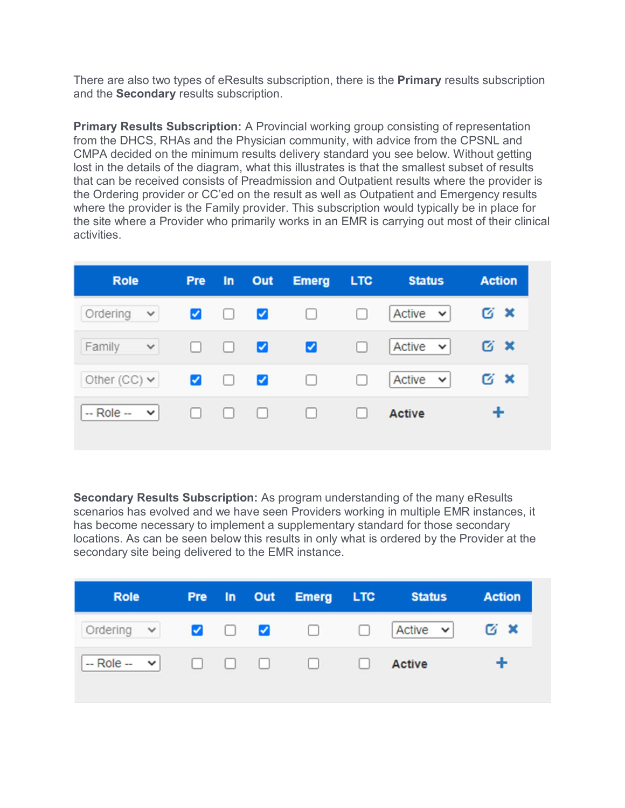There are also two types of eResults subscription, there is the **Primary** results subscription and the **Secondary** results subscription.

**Primary Results Subscription:** A Provincial working group consisting of representation from the DHCS, RHAs and the Physician community, with advice from the CPSNL and CMPA decided on the minimum results delivery standard you see below. Without getting lost in the details of the diagram, what this illustrates is that the smallest subset of results that can be received consists of Preadmission and Outpatient results where the provider is the Ordering provider or CC'ed on the result as well as Outpatient and Emergency results where the provider is the Family provider. This subscription would typically be in place for the site where a Provider who primarily works in an EMR is carrying out most of their clinical activities.

| <b>Role</b>              | <b>Pre</b>             |                                                                                                                                                                                                                                                                                                                                                                                                                         | In Out                  | Emerg LTC    |        | <b>Status</b> | <b>Action</b> |
|--------------------------|------------------------|-------------------------------------------------------------------------------------------------------------------------------------------------------------------------------------------------------------------------------------------------------------------------------------------------------------------------------------------------------------------------------------------------------------------------|-------------------------|--------------|--------|---------------|---------------|
| Ordering $\vee$          |                        |                                                                                                                                                                                                                                                                                                                                                                                                                         |                         | <b>VOVOO</b> |        | Active $\vee$ | G X           |
| Family<br>$\mathbb{R}^n$ |                        | $\begin{array}{c} \Box \hspace{0.2cm} \Box \hspace{0.2cm} \Box \hspace{0.2cm} \Box \hspace{0.2cm} \Box \hspace{0.2cm} \Box \hspace{0.2cm} \Box \hspace{0.2cm} \Box \hspace{0.2cm} \Box \hspace{0.2cm} \Box \hspace{0.2cm} \Box \hspace{0.2cm} \Box \hspace{0.2cm} \Box \hspace{0.2cm} \Box \hspace{0.2cm} \Box \hspace{0.2cm} \Box \hspace{0.2cm} \Box \hspace{0.2cm} \Box \hspace{0.2cm} \Box \hspace{0.2cm} \Box \hs$ |                         | ø            | $\Box$ | Active $\vee$ | $\alpha$ x    |
| Other (CC) $\vee$        | $\triangledown$ $\Box$ |                                                                                                                                                                                                                                                                                                                                                                                                                         | $\overline{\mathbf{v}}$ | $\Box$       | $\Box$ | Active $\vee$ | <b>B</b> X    |
| $-$ Role $ \vee$         | H                      |                                                                                                                                                                                                                                                                                                                                                                                                                         | - 80 - 80 -             |              |        | <b>Active</b> | ۰             |

**Secondary Results Subscription:** As program understanding of the many eResults scenarios has evolved and we have seen Providers working in multiple EMR instances, it has become necessary to implement a supplementary standard for those secondary locations. As can be seen below this results in only what is ordered by the Provider at the secondary site being delivered to the EMR instance.

| Ordering v V □ V □ □ Active v   び × |        |  |
|-------------------------------------|--------|--|
|                                     |        |  |
| $-Role - \vee$ 0 0 0 0 0            | Active |  |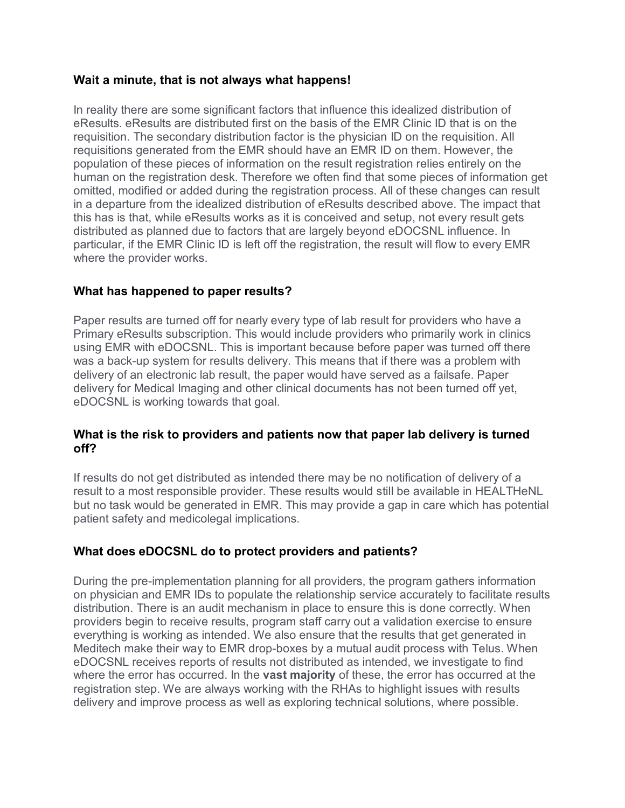### **Wait a minute, that is not always what happens!**

In reality there are some significant factors that influence this idealized distribution of eResults. eResults are distributed first on the basis of the EMR Clinic ID that is on the requisition. The secondary distribution factor is the physician ID on the requisition. All requisitions generated from the EMR should have an EMR ID on them. However, the population of these pieces of information on the result registration relies entirely on the human on the registration desk. Therefore we often find that some pieces of information get omitted, modified or added during the registration process. All of these changes can result in a departure from the idealized distribution of eResults described above. The impact that this has is that, while eResults works as it is conceived and setup, not every result gets distributed as planned due to factors that are largely beyond eDOCSNL influence. In particular, if the EMR Clinic ID is left off the registration, the result will flow to every EMR where the provider works.

## **What has happened to paper results?**

Paper results are turned off for nearly every type of lab result for providers who have a Primary eResults subscription. This would include providers who primarily work in clinics using EMR with eDOCSNL. This is important because before paper was turned off there was a back-up system for results delivery. This means that if there was a problem with delivery of an electronic lab result, the paper would have served as a failsafe. Paper delivery for Medical Imaging and other clinical documents has not been turned off yet, eDOCSNL is working towards that goal.

## **What is the risk to providers and patients now that paper lab delivery is turned off?**

If results do not get distributed as intended there may be no notification of delivery of a result to a most responsible provider. These results would still be available in HEALTHeNL but no task would be generated in EMR. This may provide a gap in care which has potential patient safety and medicolegal implications.

# **What does eDOCSNL do to protect providers and patients?**

During the pre-implementation planning for all providers, the program gathers information on physician and EMR IDs to populate the relationship service accurately to facilitate results distribution. There is an audit mechanism in place to ensure this is done correctly. When providers begin to receive results, program staff carry out a validation exercise to ensure everything is working as intended. We also ensure that the results that get generated in Meditech make their way to EMR drop-boxes by a mutual audit process with Telus. When eDOCSNL receives reports of results not distributed as intended, we investigate to find where the error has occurred. In the **vast majority** of these, the error has occurred at the registration step. We are always working with the RHAs to highlight issues with results delivery and improve process as well as exploring technical solutions, where possible.